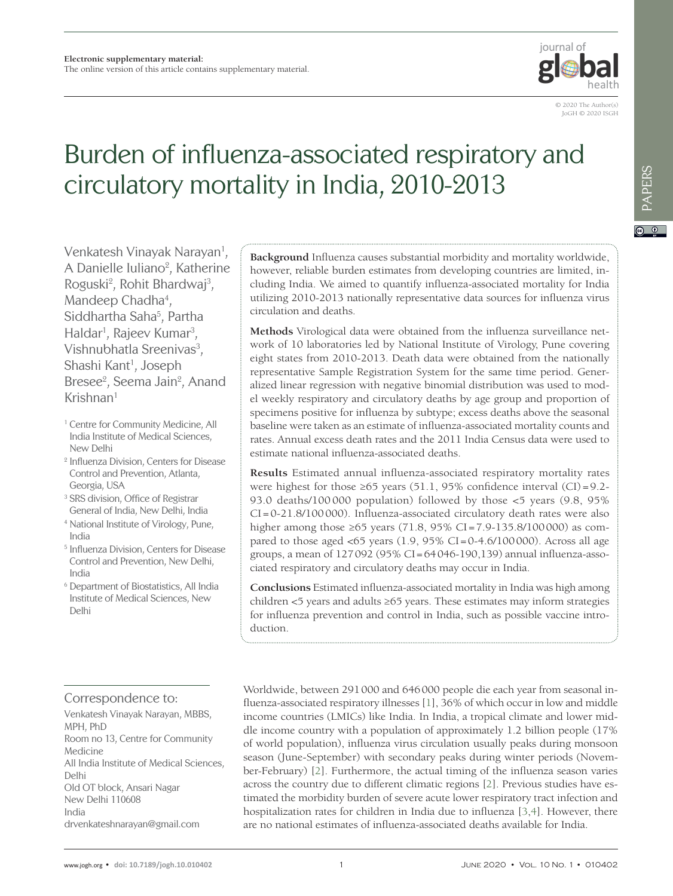

# Burden of influenza-associated respiratory and circulatory mortality in India, 2010-2013

**PAPERS** 

Venkatesh Vinayak Narayan<sup>1</sup>, A Danielle Iuliano<sup>2</sup>, Katherine Roguski<sup>2</sup>, Rohit Bhardwaj<sup>3</sup>, Mandeep Chadha<sup>4</sup>, Siddhartha Saha<sup>5</sup>, Partha Haldar<sup>1</sup>, Rajeev Kumar<sup>3</sup>, Vishnubhatla Sreenivas<sup>3</sup>, Shashi Kant<sup>1</sup>, Joseph Bresee<sup>2</sup>, Seema Jain<sup>2</sup>, Anand  $Kristman<sup>1</sup>$ 

- <sup>1</sup> Centre for Community Medicine, All India Institute of Medical Sciences, New Delhi
- 2 Influenza Division, Centers for Disease Control and Prevention, Atlanta, Georgia, USA
- <sup>3</sup> SRS division, Office of Registrar General of India, New Delhi, India
- 4 National Institute of Virology, Pune, India
- 5 Influenza Division, Centers for Disease Control and Prevention, New Delhi, India
- 6 Department of Biostatistics, All India Institute of Medical Sciences, New Delhi

# Correspondence to:

Venkatesh Vinayak Narayan, MBBS, MPH, PhD Room no 13, Centre for Community Medicine All India Institute of Medical Sciences, Delhi Old OT block, Ansari Nagar New Delhi 110608 India drvenkateshnarayan@gmail.com

**Background** Influenza causes substantial morbidity and mortality worldwide, however, reliable burden estimates from developing countries are limited, including India. We aimed to quantify influenza-associated mortality for India utilizing 2010-2013 nationally representative data sources for influenza virus circulation and deaths.

**Methods** Virological data were obtained from the influenza surveillance network of 10 laboratories led by National Institute of Virology, Pune covering eight states from 2010-2013. Death data were obtained from the nationally representative Sample Registration System for the same time period. Generalized linear regression with negative binomial distribution was used to model weekly respiratory and circulatory deaths by age group and proportion of specimens positive for influenza by subtype; excess deaths above the seasonal baseline were taken as an estimate of influenza-associated mortality counts and rates. Annual excess death rates and the 2011 India Census data were used to estimate national influenza-associated deaths.

**Results** Estimated annual influenza-associated respiratory mortality rates were highest for those  $\geq 65$  years (51.1, 95% confidence interval (CI)=9.2-93.0 deaths/100 000 population) followed by those <5 years (9.8, 95% CI = 0-21.8/100 000). Influenza-associated circulatory death rates were also higher among those ≥65 years (71.8, 95% CI = 7.9-135.8/100 000) as compared to those aged <65 years  $(1.9, 95\% \text{ CI} = 0-4.6/100000)$ . Across all age groups, a mean of 127 092 (95% CI = 64 046-190,139) annual influenza-associated respiratory and circulatory deaths may occur in India.

**Conclusions** Estimated influenza-associated mortality in India was high among children <5 years and adults ≥65 years. These estimates may inform strategies for influenza prevention and control in India, such as possible vaccine introduction.

Worldwide, between 291 000 and 646 000 people die each year from seasonal influenza-associated respiratory illnesses [1], 36% of which occur in low and middle income countries (LMICs) like India. In India, a tropical climate and lower middle income country with a population of approximately 1.2 billion people (17% of world population), influenza virus circulation usually peaks during monsoon season (June-September) with secondary peaks during winter periods (November-February) [2]. Furthermore, the actual timing of the influenza season varies across the country due to different climatic regions [2]. Previous studies have estimated the morbidity burden of severe acute lower respiratory tract infection and hospitalization rates for children in India due to influenza [3,4]. However, there are no national estimates of influenza-associated deaths available for India.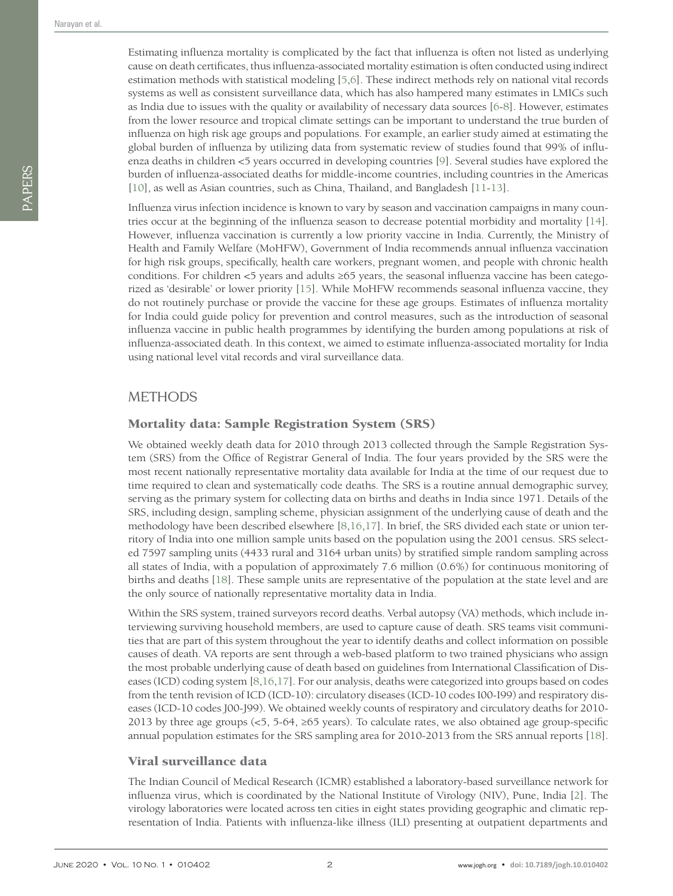Estimating influenza mortality is complicated by the fact that influenza is often not listed as underlying cause on death certificates, thus influenza-associated mortality estimation is often conducted using indirect estimation methods with statistical modeling [5,6]. These indirect methods rely on national vital records systems as well as consistent surveillance data, which has also hampered many estimates in LMICs such as India due to issues with the quality or availability of necessary data sources [6-8]. However, estimates from the lower resource and tropical climate settings can be important to understand the true burden of influenza on high risk age groups and populations. For example, an earlier study aimed at estimating the global burden of influenza by utilizing data from systematic review of studies found that 99% of influenza deaths in children <5 years occurred in developing countries [9]. Several studies have explored the burden of influenza-associated deaths for middle-income countries, including countries in the Americas [10], as well as Asian countries, such as China, Thailand, and Bangladesh [11-13].

Influenza virus infection incidence is known to vary by season and vaccination campaigns in many countries occur at the beginning of the influenza season to decrease potential morbidity and mortality [14]. However, influenza vaccination is currently a low priority vaccine in India. Currently, the Ministry of Health and Family Welfare (MoHFW), Government of India recommends annual influenza vaccination for high risk groups, specifically, health care workers, pregnant women, and people with chronic health conditions. For children <5 years and adults ≥65 years, the seasonal influenza vaccine has been categorized as 'desirable' or lower priority [15]. While MoHFW recommends seasonal influenza vaccine, they do not routinely purchase or provide the vaccine for these age groups. Estimates of influenza mortality for India could guide policy for prevention and control measures, such as the introduction of seasonal influenza vaccine in public health programmes by identifying the burden among populations at risk of influenza-associated death. In this context, we aimed to estimate influenza-associated mortality for India using national level vital records and viral surveillance data.

# **METHODS**

## Mortality data: Sample Registration System (SRS)

We obtained weekly death data for 2010 through 2013 collected through the Sample Registration System (SRS) from the Office of Registrar General of India. The four years provided by the SRS were the most recent nationally representative mortality data available for India at the time of our request due to time required to clean and systematically code deaths. The SRS is a routine annual demographic survey, serving as the primary system for collecting data on births and deaths in India since 1971. Details of the SRS, including design, sampling scheme, physician assignment of the underlying cause of death and the methodology have been described elsewhere [8,16,17]. In brief, the SRS divided each state or union territory of India into one million sample units based on the population using the 2001 census. SRS selected 7597 sampling units (4433 rural and 3164 urban units) by stratified simple random sampling across all states of India, with a population of approximately 7.6 million (0.6%) for continuous monitoring of births and deaths [18]. These sample units are representative of the population at the state level and are the only source of nationally representative mortality data in India.

Within the SRS system, trained surveyors record deaths. Verbal autopsy (VA) methods, which include interviewing surviving household members, are used to capture cause of death. SRS teams visit communities that are part of this system throughout the year to identify deaths and collect information on possible causes of death. VA reports are sent through a web-based platform to two trained physicians who assign the most probable underlying cause of death based on guidelines from International Classification of Diseases (ICD) coding system [8,16,17]. For our analysis, deaths were categorized into groups based on codes from the tenth revision of ICD (ICD-10): circulatory diseases (ICD-10 codes I00-I99) and respiratory diseases (ICD-10 codes J00-J99). We obtained weekly counts of respiratory and circulatory deaths for 2010- 2013 by three age groups (<5, 5-64, ≥65 years). To calculate rates, we also obtained age group-specific annual population estimates for the SRS sampling area for 2010-2013 from the SRS annual reports [18].

## Viral surveillance data

The Indian Council of Medical Research (ICMR) established a laboratory-based surveillance network for influenza virus, which is coordinated by the National Institute of Virology (NIV), Pune, India [2]. The virology laboratories were located across ten cities in eight states providing geographic and climatic representation of India. Patients with influenza-like illness (ILI) presenting at outpatient departments and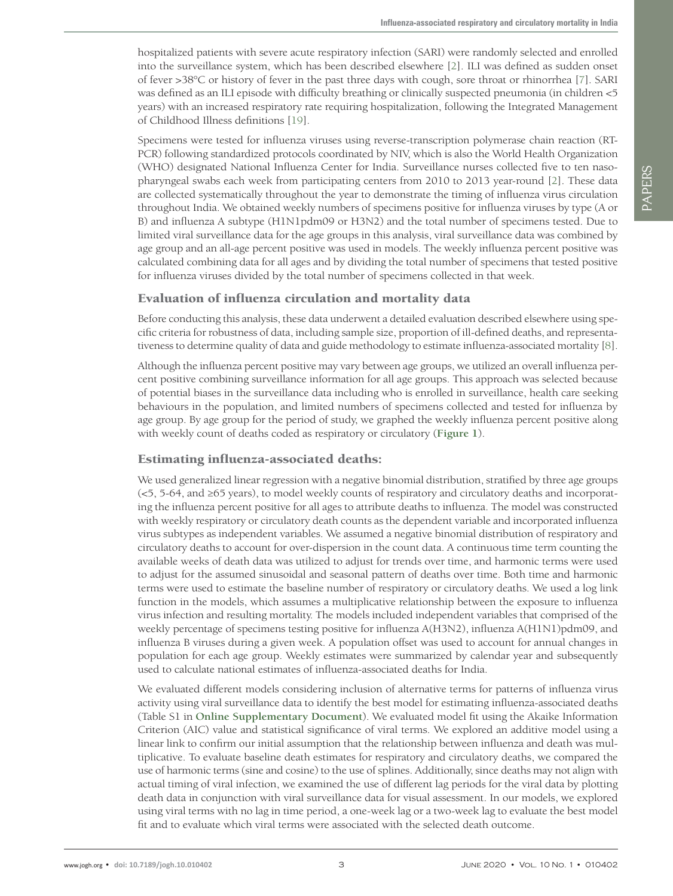hospitalized patients with severe acute respiratory infection (SARI) were randomly selected and enrolled into the surveillance system, which has been described elsewhere [2]. ILI was defined as sudden onset of fever >38°C or history of fever in the past three days with cough, sore throat or rhinorrhea [7]. SARI was defined as an ILI episode with difficulty breathing or clinically suspected pneumonia (in children <5 years) with an increased respiratory rate requiring hospitalization, following the Integrated Management of Childhood Illness definitions [19].

Specimens were tested for influenza viruses using reverse-transcription polymerase chain reaction (RT-PCR) following standardized protocols coordinated by NIV, which is also the World Health Organization (WHO) designated National Influenza Center for India. Surveillance nurses collected five to ten nasopharyngeal swabs each week from participating centers from 2010 to 2013 year-round [2]. These data are collected systematically throughout the year to demonstrate the timing of influenza virus circulation throughout India. We obtained weekly numbers of specimens positive for influenza viruses by type (A or B) and influenza A subtype (H1N1pdm09 or H3N2) and the total number of specimens tested. Due to limited viral surveillance data for the age groups in this analysis, viral surveillance data was combined by age group and an all-age percent positive was used in models. The weekly influenza percent positive was calculated combining data for all ages and by dividing the total number of specimens that tested positive for influenza viruses divided by the total number of specimens collected in that week.

## Evaluation of influenza circulation and mortality data

Before conducting this analysis, these data underwent a detailed evaluation described elsewhere using specific criteria for robustness of data, including sample size, proportion of ill-defined deaths, and representativeness to determine quality of data and guide methodology to estimate influenza-associated mortality [8].

Although the influenza percent positive may vary between age groups, we utilized an overall influenza percent positive combining surveillance information for all age groups. This approach was selected because of potential biases in the surveillance data including who is enrolled in surveillance, health care seeking behaviours in the population, and limited numbers of specimens collected and tested for influenza by age group. By age group for the period of study, we graphed the weekly influenza percent positive along with weekly count of deaths coded as respiratory or circulatory (**Figure 1**).

# Estimating influenza-associated deaths:

We used generalized linear regression with a negative binomial distribution, stratified by three age groups (<5, 5-64, and ≥65 years), to model weekly counts of respiratory and circulatory deaths and incorporating the influenza percent positive for all ages to attribute deaths to influenza. The model was constructed with weekly respiratory or circulatory death counts as the dependent variable and incorporated influenza virus subtypes as independent variables. We assumed a negative binomial distribution of respiratory and circulatory deaths to account for over-dispersion in the count data. A continuous time term counting the available weeks of death data was utilized to adjust for trends over time, and harmonic terms were used to adjust for the assumed sinusoidal and seasonal pattern of deaths over time. Both time and harmonic terms were used to estimate the baseline number of respiratory or circulatory deaths. We used a log link function in the models, which assumes a multiplicative relationship between the exposure to influenza virus infection and resulting mortality. The models included independent variables that comprised of the weekly percentage of specimens testing positive for influenza A(H3N2), influenza A(H1N1)pdm09, and influenza B viruses during a given week. A population offset was used to account for annual changes in population for each age group. Weekly estimates were summarized by calendar year and subsequently used to calculate national estimates of influenza-associated deaths for India.

We evaluated different models considering inclusion of alternative terms for patterns of influenza virus activity using viral surveillance data to identify the best model for estimating influenza-associated deaths (Table S1 in **Online Supplementary Document**). We evaluated model fit using the Akaike Information Criterion (AIC) value and statistical significance of viral terms. We explored an additive model using a linear link to confirm our initial assumption that the relationship between influenza and death was multiplicative. To evaluate baseline death estimates for respiratory and circulatory deaths, we compared the use of harmonic terms (sine and cosine) to the use of splines. Additionally, since deaths may not align with actual timing of viral infection, we examined the use of different lag periods for the viral data by plotting death data in conjunction with viral surveillance data for visual assessment. In our models, we explored using viral terms with no lag in time period, a one-week lag or a two-week lag to evaluate the best model fit and to evaluate which viral terms were associated with the selected death outcome.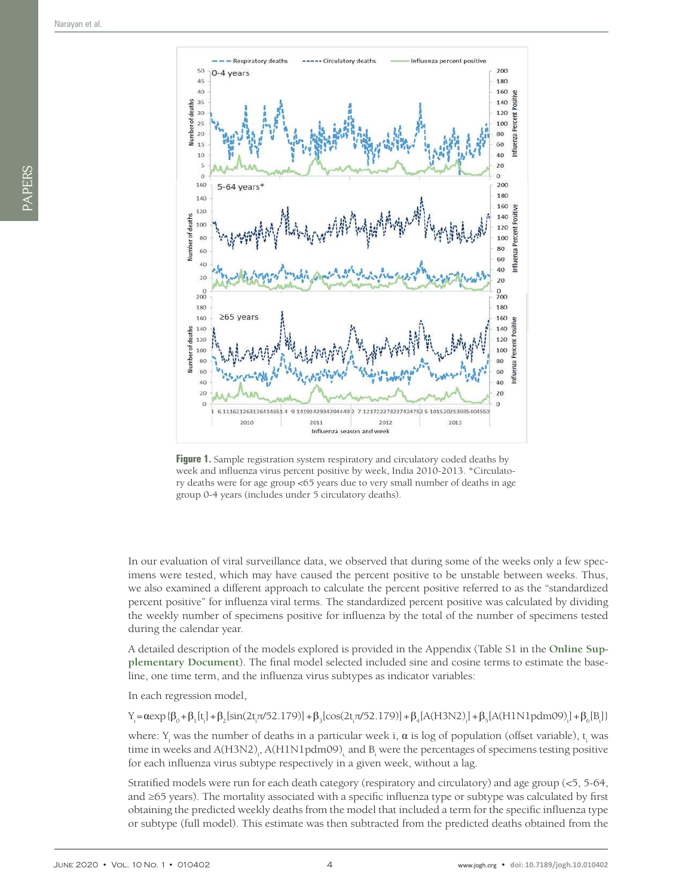

**Figure 1.** Sample registration system respiratory and circulatory coded deaths by week and influenza virus percent positive by week, India 2010-2013. \*Circulatory deaths were for age group <65 years due to very small number of deaths in age group 0-4 years (includes under 5 circulatory deaths).

In our evaluation of viral surveillance data, we observed that during some of the weeks only a few specimens were tested, which may have caused the percent positive to be unstable between weeks. Thus, we also examined a different approach to calculate the percent positive referred to as the "standardized percent positive" for influenza viral terms. The standardized percent positive was calculated by dividing the weekly number of specimens positive for influenza by the total of the number of specimens tested during the calendar year.

A detailed description of the models explored is provided in the Appendix (Table S1 in the **Online Supplementary Document**). The final model selected included sine and cosine terms to estimate the baseline, one time term, and the influenza virus subtypes as indicator variables:

In each regression model,

 $Y_i = \alpha exp {\lbrace \beta_0 + \beta_1[t_i] + \beta_2[sin(2t_i π/52.179)] + \beta_3[cos(2t_i π/52.179)] + \beta_4[A(H3N2)_i] + \beta_5[A(H1N1pdm09)_i] + \beta_6[B_i] \rbrace}$ 

where: Y<sub>i</sub> was the number of deaths in a particular week i,  $\alpha$  is log of population (offset variable), t<sub>i</sub> was time in weeks and  $A(H3N2)_{i}$ ,  $A(H1N1pdm09)_{i}$ , and  $B_{i}$  were the percentages of specimens testing positive for each influenza virus subtype respectively in a given week, without a lag.

Stratified models were run for each death category (respiratory and circulatory) and age group (<5, 5-64, and ≥65 years). The mortality associated with a specific influenza type or subtype was calculated by first obtaining the predicted weekly deaths from the model that included a term for the specific influenza type or subtype (full model). This estimate was then subtracted from the predicted deaths obtained from the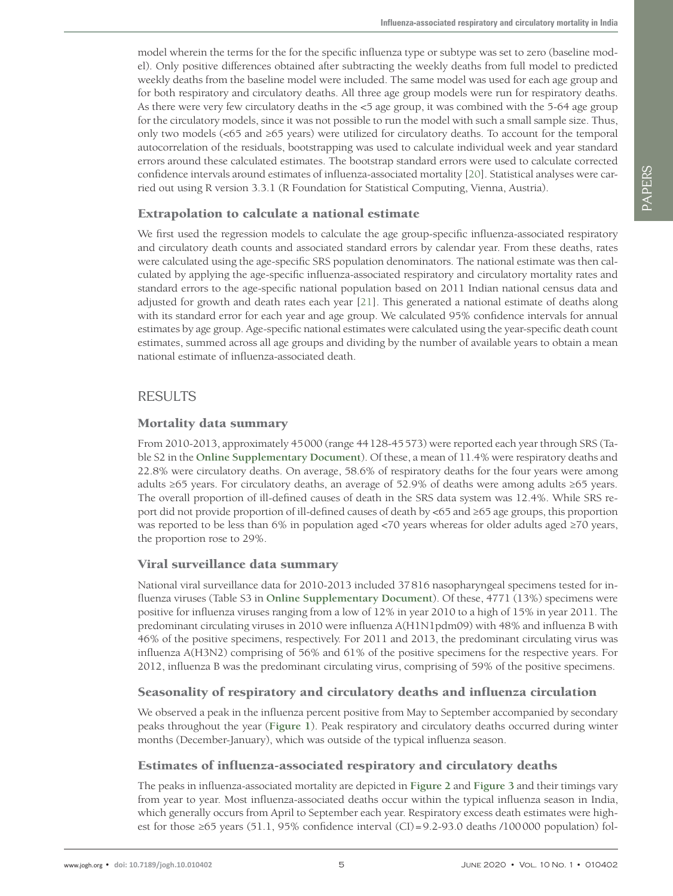model wherein the terms for the for the specific influenza type or subtype was set to zero (baseline model). Only positive differences obtained after subtracting the weekly deaths from full model to predicted weekly deaths from the baseline model were included. The same model was used for each age group and for both respiratory and circulatory deaths. All three age group models were run for respiratory deaths. As there were very few circulatory deaths in the <5 age group, it was combined with the 5-64 age group for the circulatory models, since it was not possible to run the model with such a small sample size. Thus, only two models (<65 and ≥65 years) were utilized for circulatory deaths. To account for the temporal autocorrelation of the residuals, bootstrapping was used to calculate individual week and year standard errors around these calculated estimates. The bootstrap standard errors were used to calculate corrected confidence intervals around estimates of influenza-associated mortality [20]. Statistical analyses were carried out using R version 3.3.1 (R Foundation for Statistical Computing, Vienna, Austria).

## Extrapolation to calculate a national estimate

We first used the regression models to calculate the age group-specific influenza-associated respiratory and circulatory death counts and associated standard errors by calendar year. From these deaths, rates were calculated using the age-specific SRS population denominators. The national estimate was then calculated by applying the age-specific influenza-associated respiratory and circulatory mortality rates and standard errors to the age-specific national population based on 2011 Indian national census data and adjusted for growth and death rates each year [21]. This generated a national estimate of deaths along with its standard error for each year and age group. We calculated 95% confidence intervals for annual estimates by age group. Age-specific national estimates were calculated using the year-specific death count estimates, summed across all age groups and dividing by the number of available years to obtain a mean national estimate of influenza-associated death.

# RESULTS

## Mortality data summary

From 2010-2013, approximately 45 000 (range 44 128-45 573) were reported each year through SRS (Table S2 in the **Online Supplementary Document**). Of these, a mean of 11.4% were respiratory deaths and 22.8% were circulatory deaths. On average, 58.6% of respiratory deaths for the four years were among adults ≥65 years. For circulatory deaths, an average of 52.9% of deaths were among adults ≥65 years. The overall proportion of ill-defined causes of death in the SRS data system was 12.4%. While SRS report did not provide proportion of ill-defined causes of death by <65 and ≥65 age groups, this proportion was reported to be less than 6% in population aged <70 years whereas for older adults aged ≥70 years, the proportion rose to 29%.

# Viral surveillance data summary

National viral surveillance data for 2010-2013 included 37 816 nasopharyngeal specimens tested for influenza viruses (Table S3 in **Online Supplementary Document**). Of these, 4771 (13%) specimens were positive for influenza viruses ranging from a low of 12% in year 2010 to a high of 15% in year 2011. The predominant circulating viruses in 2010 were influenza A(H1N1pdm09) with 48% and influenza B with 46% of the positive specimens, respectively. For 2011 and 2013, the predominant circulating virus was influenza A(H3N2) comprising of 56% and 61% of the positive specimens for the respective years. For 2012, influenza B was the predominant circulating virus, comprising of 59% of the positive specimens.

# Seasonality of respiratory and circulatory deaths and influenza circulation

We observed a peak in the influenza percent positive from May to September accompanied by secondary peaks throughout the year (**Figure 1**). Peak respiratory and circulatory deaths occurred during winter months (December-January), which was outside of the typical influenza season.

## Estimates of influenza-associated respiratory and circulatory deaths

The peaks in influenza-associated mortality are depicted in **Figure 2** and **Figure 3** and their timings vary from year to year. Most influenza-associated deaths occur within the typical influenza season in India, which generally occurs from April to September each year. Respiratory excess death estimates were highest for those ≥65 years (51.1, 95% confidence interval (CI) = 9.2-93.0 deaths /100 000 population) fol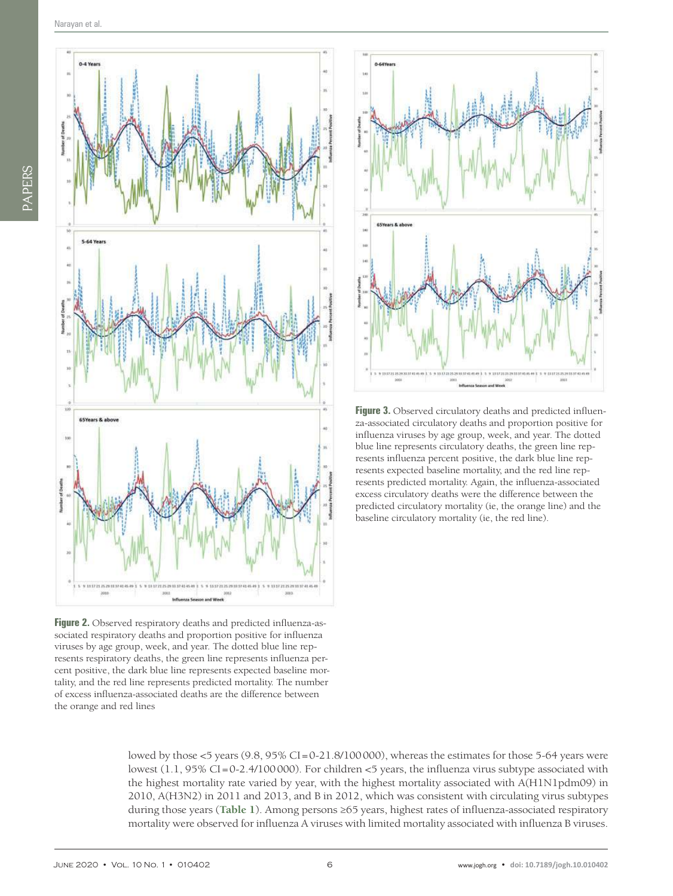PAPERS



**Figure 2.** Observed respiratory deaths and predicted influenza-associated respiratory deaths and proportion positive for influenza viruses by age group, week, and year. The dotted blue line represents respiratory deaths, the green line represents influenza percent positive, the dark blue line represents expected baseline mortality, and the red line represents predicted mortality. The number of excess influenza-associated deaths are the difference between the orange and red lines



Figure 3. Observed circulatory deaths and predicted influenza-associated circulatory deaths and proportion positive for influenza viruses by age group, week, and year. The dotted blue line represents circulatory deaths, the green line represents influenza percent positive, the dark blue line represents expected baseline mortality, and the red line represents predicted mortality. Again, the influenza-associated excess circulatory deaths were the difference between the predicted circulatory mortality (ie, the orange line) and the baseline circulatory mortality (ie, the red line).

lowed by those  $\lt$ 5 years (9.8, 95% CI=0-21.8/100000), whereas the estimates for those 5-64 years were lowest (1.1, 95% CI=0-2.4/100000). For children <5 years, the influenza virus subtype associated with the highest mortality rate varied by year, with the highest mortality associated with A(H1N1pdm09) in 2010, A(H3N2) in 2011 and 2013, and B in 2012, which was consistent with circulating virus subtypes during those years (**Table 1**). Among persons ≥65 years, highest rates of influenza-associated respiratory mortality were observed for influenza A viruses with limited mortality associated with influenza B viruses.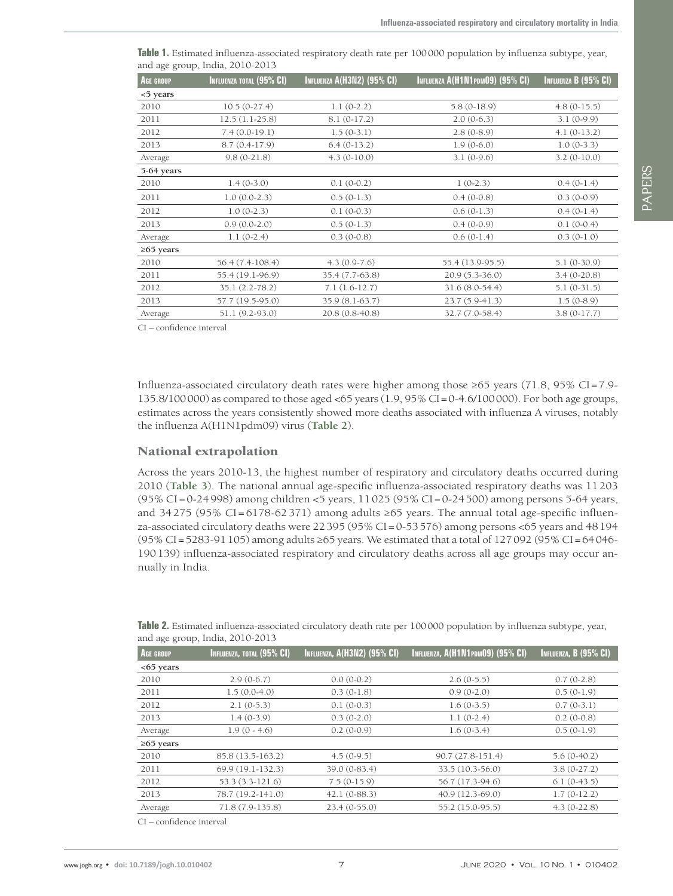**Table 1.** Estimated influenza-associated respiratory death rate per 100000 population by influenza subtype, year, and age group, India, 2010-2013

| <b>AGE GROUP</b> | <b>INFLUENZA TOTAL (95% CI)</b> | INFLUENZA A(H3N2) (95% CI)    | INFLUENZA A(H1N1PDM09) (95% CI) | <b>INFLUENZA B (95% CI)</b> |  |
|------------------|---------------------------------|-------------------------------|---------------------------------|-----------------------------|--|
| <5 years         |                                 |                               |                                 |                             |  |
| 2010             | $10.5(0-27.4)$<br>$1.1(0-2.2)$  |                               | $5.8(0-18.9)$                   | $4.8(0-15.5)$               |  |
| 2011             | $12.5(1.1-25.8)$                | $8.1(0-17.2)$                 | $2.0(0-6.3)$                    |                             |  |
| 2012             | $7.4(0.0-19.1)$                 | $1.5(0-3.1)$                  | $2.8(0-8.9)$                    | $4.1(0-13.2)$               |  |
| 2013             | $8.7(0.4-17.9)$                 | $6.4(0-13.2)$                 | $1.9(0-6.0)$                    | $1.0(0-3.3)$                |  |
| Average          | $9.8(0-21.8)$                   | $4.3(0-10.0)$<br>$3.1(0-9.6)$ |                                 | $3.2(0-10.0)$               |  |
| 5-64 years       |                                 |                               |                                 |                             |  |
| 2010             | $1.4(0-3.0)$                    | $0.1(0-0.2)$                  | $1(0-2.3)$                      | $0.4(0-1.4)$                |  |
| 2011             | $1.0(0.0-2.3)$                  | $0.5(0-1.3)$                  | $0.4(0-0.8)$                    | $0.3(0-0.9)$                |  |
| 2012             | $1.0(0-2.3)$                    | $0.1(0-0.3)$                  | $0.6(0-1.3)$                    | $0.4(0-1.4)$                |  |
| 2013             | $0.9(0.0-2.0)$                  | $0.5(0-1.3)$                  | $0.4(0-0.9)$                    | $0.1(0-0.4)$                |  |
| Average          | $1.1(0-2.4)$                    | $0.3(0-0.8)$<br>$0.6(0-1.4)$  |                                 | $0.3(0-1.0)$                |  |
| $\geq 65$ years  |                                 |                               |                                 |                             |  |
| 2010             | $56.4(7.4-108.4)$               | $4.3(0.9-7.6)$                | 55.4 (13.9-95.5)                | $5.1(0-30.9)$               |  |
| 2011             | 55.4 (19.1-96.9)                | 35.4 (7.7-63.8)               | $20.9(5.3-36.0)$                | $3.4(0-20.8)$               |  |
| 2012             | 35.1 (2.2-78.2)                 | $7.1(1.6-12.7)$               | $31.6(8.0-54.4)$                | $5.1(0-31.5)$               |  |
| 2013             | 57.7 (19.5-95.0)                | 35.9 (8.1-63.7)               | 23.7 (5.9-41.3)                 | $1.5(0-8.9)$                |  |
| Average          | 51.1 (9.2-93.0)                 | 20.8 (0.8-40.8)               | 32.7 (7.0-58.4)                 | $3.8(0-17.7)$               |  |

CI – confidence interval

Influenza-associated circulatory death rates were higher among those  $\geq 65$  years (71.8, 95% CI=7.9-135.8/100 000) as compared to those aged <65 years (1.9, 95% CI = 0-4.6/100 000). For both age groups, estimates across the years consistently showed more deaths associated with influenza A viruses, notably the influenza A(H1N1pdm09) virus (**Table 2**).

## National extrapolation

Across the years 2010-13, the highest number of respiratory and circulatory deaths occurred during 2010 (**Table 3**). The national annual age-specific influenza-associated respiratory deaths was 11 203 (95% CI = 0-24 998) among children <5 years, 11 025 (95% CI = 0-24 500) among persons 5-64 years, and  $34275$  (95% CI=6178-62371) among adults ≥65 years. The annual total age-specific influenza-associated circulatory deaths were 22 395 (95% CI = 0-53 576) among persons <65 years and 48 194 (95% CI = 5283-91 105) among adults ≥65 years. We estimated that a total of 127 092 (95% CI = 64 046- 190 139) influenza-associated respiratory and circulatory deaths across all age groups may occur annually in India.

| <b>AGE GROUP</b>     | INFLUENZA, TOTAL (95% CI) | INFLUENZA, A(H3N2) (95% CI) | INFLUENZA, A(H1N1PDM09) (95% CI) | INFLUENZA, B (95% CI) |  |  |  |  |  |
|----------------------|---------------------------|-----------------------------|----------------------------------|-----------------------|--|--|--|--|--|
| <65 years            |                           |                             |                                  |                       |  |  |  |  |  |
| 2010                 | $2.9(0-6.7)$              | $0.0(0-0.2)$                | $2.6(0-5.5)$                     | $0.7(0-2.8)$          |  |  |  |  |  |
| 2011                 | $1.5(0.0-4.0)$            | $0.3(0-1.8)$                | $0.9(0-2.0)$                     | $0.5(0-1.9)$          |  |  |  |  |  |
| 2012                 | $2.1(0-5.3)$              | $0.1(0-0.3)$                | $1.6(0-3.5)$                     | $0.7(0-3.1)$          |  |  |  |  |  |
| 2013                 | $1.4(0-3.9)$              | $0.3(0-2.0)$                | $1.1(0-2.4)$                     | $0.2(0-0.8)$          |  |  |  |  |  |
| Average              | $1.9(0 - 4.6)$            | $0.2(0-0.9)$                | $1.6(0-3.4)$                     | $0.5(0-1.9)$          |  |  |  |  |  |
| $\geq$ 65 years      |                           |                             |                                  |                       |  |  |  |  |  |
| 2010                 | 85.8 (13.5-163.2)         | $4.5(0-9.5)$                | 90.7 (27.8-151.4)                | $5.6(0-40.2)$         |  |  |  |  |  |
| 2011                 | 69.9 (19.1-132.3)         | 39.0 (0-83.4)               | 33.5 (10.3-56.0)                 | $3.8(0-27.2)$         |  |  |  |  |  |
| 2012                 | $53.3(3.3-121.6)$         | $7.5(0-15.9)$               | 56.7 (17.3-94.6)                 | $6.1(0-43.5)$         |  |  |  |  |  |
| 2013                 | 78.7 (19.2-141.0)         | $42.1(0-88.3)$              | $40.9(12.3-69.0)$                | $1.7(0-12.2)$         |  |  |  |  |  |
| Average              | 71.8 (7.9-135.8)          | $23.4(0-55.0)$              | 55.2 (15.0-95.5)                 | $4.3(0-22.8)$         |  |  |  |  |  |
| $\sim$ $\sim$ $\sim$ |                           |                             |                                  |                       |  |  |  |  |  |

Table 2. Estimated influenza-associated circulatory death rate per 100000 population by influenza subtype, year, and age group, India, 2010-2013

CI – confidence interval

**PAPERS**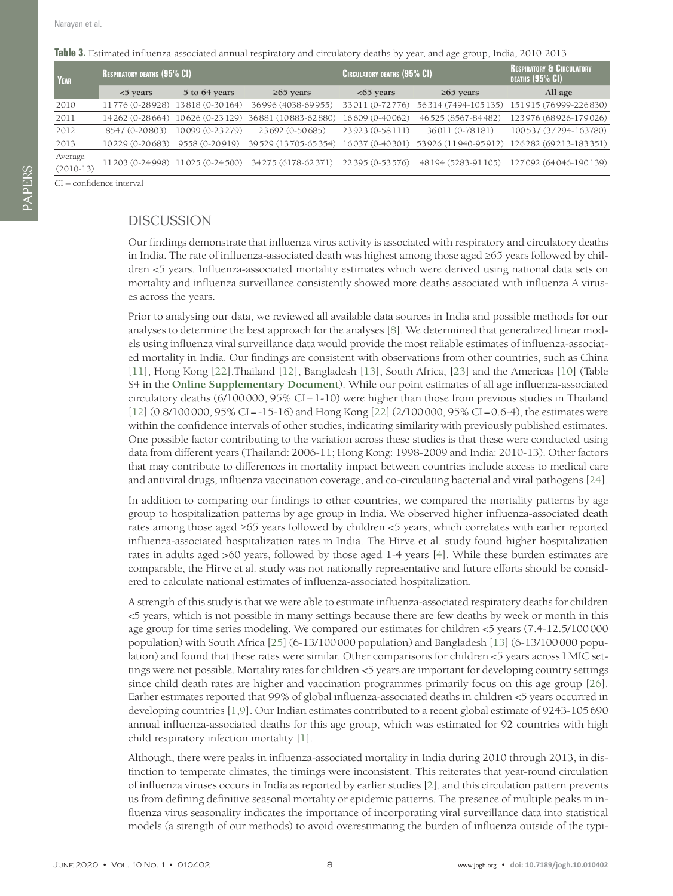**Table 3.** Estimated influenza-associated annual respiratory and circulatory deaths by year, and age group, India, 2010-2013

| YEAR                   | <b>RESPIRATORY DEATHS (95% CI)</b> |                                 |                     | CIRCULATORY DEATHS (95% CI)1 |                      | <b>RESPIRATORY &amp; CIRCULATORY</b><br>DEATHS (95% CI) |
|------------------------|------------------------------------|---------------------------------|---------------------|------------------------------|----------------------|---------------------------------------------------------|
|                        | <5 years                           | 5 to 64 years                   | $\geq 65$ years     | $<65$ years                  | $\geq 65$ years      | All age                                                 |
| 2010                   | 11776 (0-28928)                    | 13818 (0-30164)                 | 36996 (4038-69955)  | 33011 (0-72776)              | 56314 (7494-105135)  | 151915 (76999-226830)                                   |
| 2011                   | 14262 (0-28664)                    | 10626 (0-23129)                 | 36881 (10883-62880) | 16609 (0-40062)              | 46525 (8567-84482)   | 123976 (68926-179026)                                   |
| 2012                   | 8547 (0-20803)                     | 10099 (0-23279)                 | 23 692 (0-50 685)   | 23923 (0-58111)              | 36011 (0-78181)      | 100537 (37294-163780)                                   |
| 2013                   | 10229 (0-20683)                    | 9558 (0-20919)                  | 39529 (13705-65354) | 16037 (0-40301)              |                      | 53926 (11940-95912) 126282 (69213-183351)               |
| Average<br>$(2010-13)$ |                                    | 11203 (0-24998) 11025 (0-24500) | 34275 (6178-62371)  | 22395 (0-53576)              | 48 194 (5283-91 105) | 127092 (64046-190139)                                   |

CI – confidence interval

# **DISCUSSION**

Our findings demonstrate that influenza virus activity is associated with respiratory and circulatory deaths in India. The rate of influenza-associated death was highest among those aged ≥65 years followed by children <5 years. Influenza-associated mortality estimates which were derived using national data sets on mortality and influenza surveillance consistently showed more deaths associated with influenza A viruses across the years.

Prior to analysing our data, we reviewed all available data sources in India and possible methods for our analyses to determine the best approach for the analyses [8]. We determined that generalized linear models using influenza viral surveillance data would provide the most reliable estimates of influenza-associated mortality in India. Our findings are consistent with observations from other countries, such as China [11], Hong Kong [22],Thailand [12], Bangladesh [13], South Africa, [23] and the Americas [10] (Table S4 in the **Online Supplementary Document**). While our point estimates of all age influenza-associated circulatory deaths (6/100 000, 95% CI = 1-10) were higher than those from previous studies in Thailand [12] (0.8/100 000, 95% CI = -15-16) and Hong Kong [22] (2/100 000, 95% CI = 0.6-4), the estimates were within the confidence intervals of other studies, indicating similarity with previously published estimates. One possible factor contributing to the variation across these studies is that these were conducted using data from different years (Thailand: 2006-11; Hong Kong: 1998-2009 and India: 2010-13). Other factors that may contribute to differences in mortality impact between countries include access to medical care and antiviral drugs, influenza vaccination coverage, and co-circulating bacterial and viral pathogens [24].

In addition to comparing our findings to other countries, we compared the mortality patterns by age group to hospitalization patterns by age group in India. We observed higher influenza-associated death rates among those aged ≥65 years followed by children <5 years, which correlates with earlier reported influenza-associated hospitalization rates in India. The Hirve et al. study found higher hospitalization rates in adults aged >60 years, followed by those aged 1-4 years [4]. While these burden estimates are comparable, the Hirve et al. study was not nationally representative and future efforts should be considered to calculate national estimates of influenza-associated hospitalization.

A strength of this study is that we were able to estimate influenza-associated respiratory deaths for children <5 years, which is not possible in many settings because there are few deaths by week or month in this age group for time series modeling. We compared our estimates for children <5 years (7.4-12.5/100 000 population) with South Africa [25] (6-13/100 000 population) and Bangladesh [13] (6-13/100 000 population) and found that these rates were similar. Other comparisons for children <5 years across LMIC settings were not possible. Mortality rates for children <5 years are important for developing country settings since child death rates are higher and vaccination programmes primarily focus on this age group [26]. Earlier estimates reported that 99% of global influenza-associated deaths in children <5 years occurred in developing countries [1,9]. Our Indian estimates contributed to a recent global estimate of 9243-105 690 annual influenza-associated deaths for this age group, which was estimated for 92 countries with high child respiratory infection mortality [1].

Although, there were peaks in influenza-associated mortality in India during 2010 through 2013, in distinction to temperate climates, the timings were inconsistent. This reiterates that year-round circulation of influenza viruses occurs in India as reported by earlier studies [2], and this circulation pattern prevents us from defining definitive seasonal mortality or epidemic patterns. The presence of multiple peaks in influenza virus seasonality indicates the importance of incorporating viral surveillance data into statistical models (a strength of our methods) to avoid overestimating the burden of influenza outside of the typi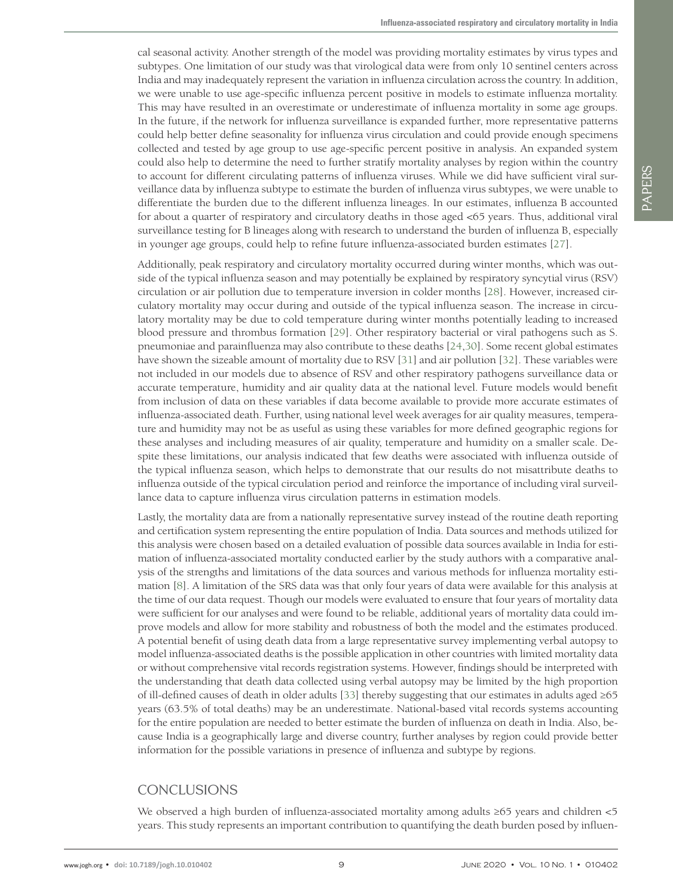cal seasonal activity. Another strength of the model was providing mortality estimates by virus types and subtypes. One limitation of our study was that virological data were from only 10 sentinel centers across India and may inadequately represent the variation in influenza circulation across the country. In addition, we were unable to use age-specific influenza percent positive in models to estimate influenza mortality. This may have resulted in an overestimate or underestimate of influenza mortality in some age groups. In the future, if the network for influenza surveillance is expanded further, more representative patterns could help better define seasonality for influenza virus circulation and could provide enough specimens collected and tested by age group to use age-specific percent positive in analysis. An expanded system could also help to determine the need to further stratify mortality analyses by region within the country to account for different circulating patterns of influenza viruses. While we did have sufficient viral surveillance data by influenza subtype to estimate the burden of influenza virus subtypes, we were unable to differentiate the burden due to the different influenza lineages. In our estimates, influenza B accounted for about a quarter of respiratory and circulatory deaths in those aged <65 years. Thus, additional viral surveillance testing for B lineages along with research to understand the burden of influenza B, especially in younger age groups, could help to refine future influenza-associated burden estimates [27].

Additionally, peak respiratory and circulatory mortality occurred during winter months, which was outside of the typical influenza season and may potentially be explained by respiratory syncytial virus (RSV) circulation or air pollution due to temperature inversion in colder months [28]. However, increased circulatory mortality may occur during and outside of the typical influenza season. The increase in circulatory mortality may be due to cold temperature during winter months potentially leading to increased blood pressure and thrombus formation [29]. Other respiratory bacterial or viral pathogens such as S. pneumoniae and parainfluenza may also contribute to these deaths [24,30]. Some recent global estimates have shown the sizeable amount of mortality due to RSV [31] and air pollution [32]. These variables were not included in our models due to absence of RSV and other respiratory pathogens surveillance data or accurate temperature, humidity and air quality data at the national level. Future models would benefit from inclusion of data on these variables if data become available to provide more accurate estimates of influenza-associated death. Further, using national level week averages for air quality measures, temperature and humidity may not be as useful as using these variables for more defined geographic regions for these analyses and including measures of air quality, temperature and humidity on a smaller scale. Despite these limitations, our analysis indicated that few deaths were associated with influenza outside of the typical influenza season, which helps to demonstrate that our results do not misattribute deaths to influenza outside of the typical circulation period and reinforce the importance of including viral surveillance data to capture influenza virus circulation patterns in estimation models.

Lastly, the mortality data are from a nationally representative survey instead of the routine death reporting and certification system representing the entire population of India. Data sources and methods utilized for this analysis were chosen based on a detailed evaluation of possible data sources available in India for estimation of influenza-associated mortality conducted earlier by the study authors with a comparative analysis of the strengths and limitations of the data sources and various methods for influenza mortality estimation [8]. A limitation of the SRS data was that only four years of data were available for this analysis at the time of our data request. Though our models were evaluated to ensure that four years of mortality data were sufficient for our analyses and were found to be reliable, additional years of mortality data could improve models and allow for more stability and robustness of both the model and the estimates produced. A potential benefit of using death data from a large representative survey implementing verbal autopsy to model influenza-associated deaths is the possible application in other countries with limited mortality data or without comprehensive vital records registration systems. However, findings should be interpreted with the understanding that death data collected using verbal autopsy may be limited by the high proportion of ill-defined causes of death in older adults [33] thereby suggesting that our estimates in adults aged ≥65 years (63.5% of total deaths) may be an underestimate. National-based vital records systems accounting for the entire population are needed to better estimate the burden of influenza on death in India. Also, because India is a geographically large and diverse country, further analyses by region could provide better information for the possible variations in presence of influenza and subtype by regions.

# CONCLUSIONS

We observed a high burden of influenza-associated mortality among adults ≥65 years and children <5 years. This study represents an important contribution to quantifying the death burden posed by influen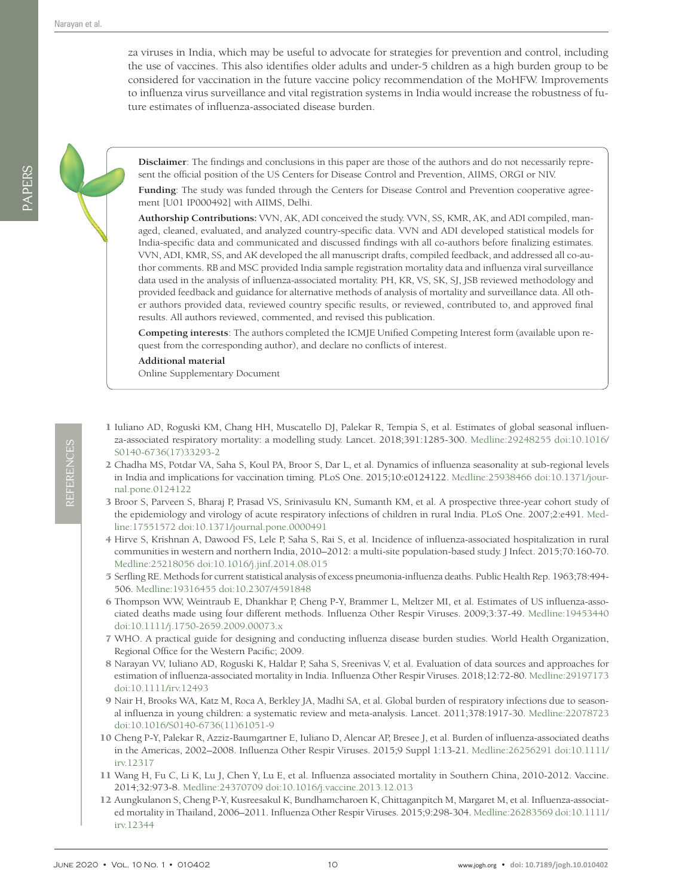za viruses in India, which may be useful to advocate for strategies for prevention and control, including the use of vaccines. This also identifies older adults and under-5 children as a high burden group to be considered for vaccination in the future vaccine policy recommendation of the MoHFW. Improvements to influenza virus surveillance and vital registration systems in India would increase the robustness of future estimates of influenza-associated disease burden.

**PAPFRS** PAPERS

**Disclaimer**: The findings and conclusions in this paper are those of the authors and do not necessarily represent the official position of the US Centers for Disease Control and Prevention, AIIMS, ORGI or NIV.

**Funding**: The study was funded through the Centers for Disease Control and Prevention cooperative agreement [U01 IP000492] with AIIMS, Delhi.

**Authorship Contributions:** VVN, AK, ADI conceived the study. VVN, SS, KMR, AK, and ADI compiled, managed, cleaned, evaluated, and analyzed country-specific data. VVN and ADI developed statistical models for India-specific data and communicated and discussed findings with all co-authors before finalizing estimates. VVN, ADI, KMR, SS, and AK developed the all manuscript drafts, compiled feedback, and addressed all co-author comments. RB and MSC provided India sample registration mortality data and influenza viral surveillance data used in the analysis of influenza-associated mortality. PH, KR, VS, SK, SJ, JSB reviewed methodology and provided feedback and guidance for alternative methods of analysis of mortality and surveillance data. All other authors provided data, reviewed country specific results, or reviewed, contributed to, and approved final results. All authors reviewed, commented, and revised this publication.

**Competing interests**: The authors completed the ICMJE Unified Competing Interest form (available upon request from the corresponding author), and declare no conflicts of interest.

**Additional material**

Online Supplementary Document

- 1 Iuliano AD, Roguski KM, Chang HH, Muscatello DJ, Palekar R, Tempia S, et al. Estimates of global seasonal influenza-associated respiratory mortality: a modelling study. Lancet. 2018;391:1285-300. Medline:29248255 doi:10.1016/ S0140-6736(17)33293-2
- 2 Chadha MS, Potdar VA, Saha S, Koul PA, Broor S, Dar L, et al. Dynamics of influenza seasonality at sub-regional levels in India and implications for vaccination timing. PLoS One. 2015;10:e0124122. Medline:25938466 doi:10.1371/journal.pone.0124122
- 3 Broor S, Parveen S, Bharaj P, Prasad VS, Srinivasulu KN, Sumanth KM, et al. A prospective three-year cohort study of the epidemiology and virology of acute respiratory infections of children in rural India. PLoS One. 2007;2:e491. Medline:17551572 doi:10.1371/journal.pone.0000491
- 4 Hirve S, Krishnan A, Dawood FS, Lele P, Saha S, Rai S, et al. Incidence of influenza-associated hospitalization in rural communities in western and northern India, 2010–2012: a multi-site population-based study. J Infect. 2015;70:160-70. Medline:25218056 doi:10.1016/j.jinf.2014.08.015
- 5 Serfling RE. Methods for current statistical analysis of excess pneumonia-influenza deaths. Public Health Rep. 1963;78:494- 506. Medline:19316455 doi:10.2307/4591848
- 6 Thompson WW, Weintraub E, Dhankhar P, Cheng P-Y, Brammer L, Meltzer MI, et al. Estimates of US influenza-associated deaths made using four different methods. Influenza Other Respir Viruses. 2009;3:37-49. Medline:19453440 doi:10.1111/j.1750-2659.2009.00073.x
- 7 WHO. A practical guide for designing and conducting influenza disease burden studies. World Health Organization, Regional Office for the Western Pacific; 2009.
- 8 Narayan VV, Iuliano AD, Roguski K, Haldar P, Saha S, Sreenivas V, et al. Evaluation of data sources and approaches for estimation of influenza-associated mortality in India. Influenza Other Respir Viruses. 2018;12:72-80. Medline:29197173 doi:10.1111/irv.12493
- 9 Nair H, Brooks WA, Katz M, Roca A, Berkley JA, Madhi SA, et al. Global burden of respiratory infections due to seasonal influenza in young children: a systematic review and meta-analysis. Lancet. 2011;378:1917-30. Medline:22078723 doi:10.1016/S0140-6736(11)61051-9
- 10 Cheng P-Y, Palekar R, Azziz-Baumgartner E, Iuliano D, Alencar AP, Bresee J, et al. Burden of influenza-associated deaths in the Americas, 2002–2008. Influenza Other Respir Viruses. 2015;9 Suppl 1:13-21. Medline:26256291 doi:10.1111/ irv.12317
- 11 Wang H, Fu C, Li K, Lu J, Chen Y, Lu E, et al. Influenza associated mortality in Southern China, 2010-2012. Vaccine. 2014;32:973-8. Medline:24370709 doi:10.1016/j.vaccine.2013.12.013
- 12 Aungkulanon S, Cheng P-Y, Kusreesakul K, Bundhamcharoen K, Chittaganpitch M, Margaret M, et al. Influenza-associated mortality in Thailand, 2006–2011. Influenza Other Respir Viruses. 2015;9:298-304. Medline:26283569 doi:10.1111/ irv.12344